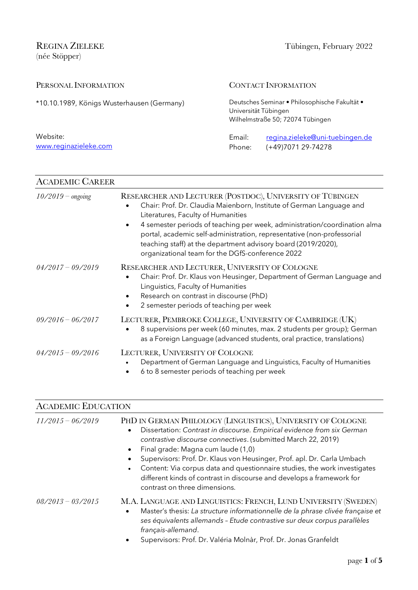REGINA ZIELEKE Tübingen, February 2022 (née Stöpper)

| PERSONAL INFORMATION                       |                      | <b>CONTACT INFORMATION</b>                                                        |
|--------------------------------------------|----------------------|-----------------------------------------------------------------------------------|
| *10.10.1989, Königs Wusterhausen (Germany) | Universität Tübingen | Deutsches Seminar · Philosophische Fakultät ·<br>Wilhelmstraße 50; 72074 Tübingen |
| Website:<br>www.reginazieleke.com          | Email:<br>Phone:     | regina.zieleke@uni-tuebingen.de<br>(+49)7071 29-74278                             |

| <b>ACADEMIC CAREER</b> |                                                                                                                                                                                                                                                                                                                                                                                                                                                                  |  |
|------------------------|------------------------------------------------------------------------------------------------------------------------------------------------------------------------------------------------------------------------------------------------------------------------------------------------------------------------------------------------------------------------------------------------------------------------------------------------------------------|--|
| $10/2019$ – ongoing    | RESEARCHER AND LECTURER (POSTDOC), UNIVERSITY OF TÜBINGEN<br>Chair: Prof. Dr. Claudia Maienborn, Institute of German Language and<br>Literatures, Faculty of Humanities<br>4 semester periods of teaching per week, administration/coordination alma<br>$\bullet$<br>portal, academic self-administration, representative (non-professorial<br>teaching staff) at the department advisory board (2019/2020),<br>organizational team for the DGfS-conference 2022 |  |
| $04/2017 - 09/2019$    | RESEARCHER AND LECTURER, UNIVERSITY OF COLOGNE<br>Chair: Prof. Dr. Klaus von Heusinger, Department of German Language and<br>Linguistics, Faculty of Humanities<br>Research on contrast in discourse (PhD)<br>2 semester periods of teaching per week<br>٠                                                                                                                                                                                                       |  |
| $09/2016 - 06/2017$    | LECTURER, PEMBROKE COLLEGE, UNIVERSITY OF CAMBRIDGE (UK)<br>8 supervisions per week (60 minutes, max. 2 students per group); German<br>$\bullet$<br>as a Foreign Language (advanced students, oral practice, translations)                                                                                                                                                                                                                                       |  |
| $04/2015 - 09/2016$    | LECTURER, UNIVERSITY OF COLOGNE<br>Department of German Language and Linguistics, Faculty of Humanities<br>6 to 8 semester periods of teaching per week                                                                                                                                                                                                                                                                                                          |  |

## ACADEMIC EDUCATION

| $11/2015 - 06/2019$ | PHD IN GERMAN PHILOLOGY (LINGUISTICS), UNIVERSITY OF COLOGNE<br>Dissertation: Contrast in discourse. Empirical evidence from six German<br>$\bullet$<br>contrastive discourse connectives. (submitted March 22, 2019)<br>Final grade: Magna cum laude (1,0)<br>$\bullet$<br>Supervisors: Prof. Dr. Klaus von Heusinger, Prof. apl. Dr. Carla Umbach<br>Content: Via corpus data and questionnaire studies, the work investigates<br>different kinds of contrast in discourse and develops a framework for<br>contrast on three dimensions. |
|---------------------|--------------------------------------------------------------------------------------------------------------------------------------------------------------------------------------------------------------------------------------------------------------------------------------------------------------------------------------------------------------------------------------------------------------------------------------------------------------------------------------------------------------------------------------------|
| $08/2013 - 03/2015$ | M.A. LANGUAGE AND LINGUISTICS: FRENCH, LUND UNIVERSITY (SWEDEN)<br>Master's thesis: La structure informationnelle de la phrase clivée française et<br>$\bullet$<br>ses équivalents allemands - Etude contrastive sur deux corpus parallèles<br>français-allemand.<br>Supervisors: Prof. Dr. Valéria Molnàr, Prof. Dr. Jonas Granfeldt                                                                                                                                                                                                      |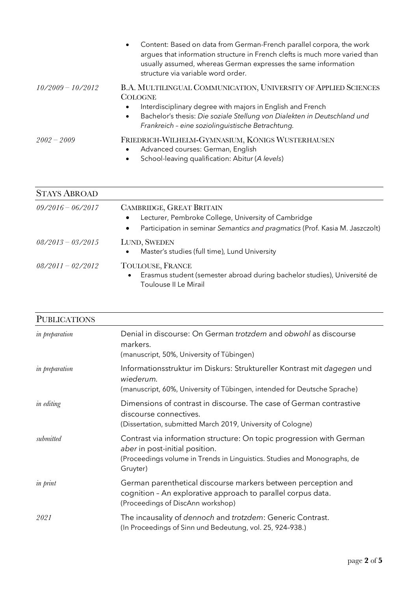|                     | Content: Based on data from German-French parallel corpora, the work<br>$\bullet$<br>argues that information structure in French clefts is much more varied than<br>usually assumed, whereas German expresses the same information<br>structure via variable word order.                                   |
|---------------------|------------------------------------------------------------------------------------------------------------------------------------------------------------------------------------------------------------------------------------------------------------------------------------------------------------|
| $10/2009 - 10/2012$ | B.A. MULTILINGUAL COMMUNICATION, UNIVERSITY OF APPLIED SCIENCES<br><b>COLOGNE</b><br>Interdisciplinary degree with majors in English and French<br>$\bullet$<br>Bachelor's thesis: Die soziale Stellung von Dialekten in Deutschland und<br>$\bullet$<br>Frankreich - eine soziolinguistische Betrachtung. |
| $2002 - 2009$       | FRIEDRICH-WILHELM-GYMNASIUM, KÖNIGS WUSTERHAUSEN<br>Advanced courses: German, English<br>$\bullet$<br>School-leaving qualification: Abitur (A levels)<br>$\bullet$                                                                                                                                         |

| <b>STAYS ABROAD</b> |                                                                                                                                                                                                  |
|---------------------|--------------------------------------------------------------------------------------------------------------------------------------------------------------------------------------------------|
| $09/2016 - 06/2017$ | <b>CAMBRIDGE, GREAT BRITAIN</b><br>Lecturer, Pembroke College, University of Cambridge<br>$\bullet$<br>Participation in seminar Semantics and pragmatics (Prof. Kasia M. Jaszczolt)<br>$\bullet$ |
| $08/2013 - 03/2015$ | LUND, SWEDEN<br>Master's studies (full time), Lund University<br>$\bullet$                                                                                                                       |
| $08/2011 - 02/2012$ | TOULOUSE, FRANCE<br>Erasmus student (semester abroad during bachelor studies), Université de<br>Toulouse II Le Mirail                                                                            |

| <b>PUBLICATIONS</b> |                                                                                                                                                                                                |
|---------------------|------------------------------------------------------------------------------------------------------------------------------------------------------------------------------------------------|
| in preparation      | Denial in discourse: On German trotzdem and obwohl as discourse<br>markers.<br>(manuscript, 50%, University of Tübingen)                                                                       |
| in preparation      | Informationsstruktur im Diskurs: Struktureller Kontrast mit dagegen und<br>wiederum.<br>(manuscript, 60%, University of Tübingen, intended for Deutsche Sprache)                               |
| <i>in editing</i>   | Dimensions of contrast in discourse. The case of German contrastive<br>discourse connectives.<br>(Dissertation, submitted March 2019, University of Cologne)                                   |
| submitted           | Contrast via information structure: On topic progression with German<br>aber in post-initial position.<br>(Proceedings volume in Trends in Linguistics. Studies and Monographs, de<br>Gruyter) |
| in print            | German parenthetical discourse markers between perception and<br>cognition - An explorative approach to parallel corpus data.<br>(Proceedings of DiscAnn workshop)                             |
| 2021                | The incausality of dennoch and trotzdem: Generic Contrast.<br>(In Proceedings of Sinn und Bedeutung, vol. 25, 924-938.)                                                                        |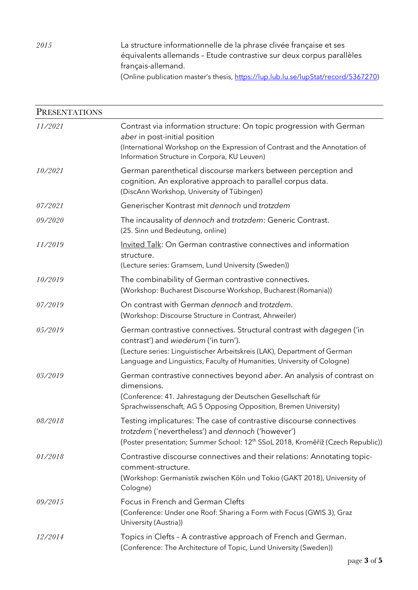*2015* La structure informationnelle de la phrase clivée française et ses équivalents allemands – Etude contrastive sur deux corpus parallèles français-allemand.

(Online publication master's thesis, https://lup.lub.lu.se/lupStat/record/5367270)

|         | <b>PRESENTATIONS</b>                                                                                                                                                                                                                                                 |  |  |
|---------|----------------------------------------------------------------------------------------------------------------------------------------------------------------------------------------------------------------------------------------------------------------------|--|--|
| 11/2021 | Contrast via information structure: On topic progression with German<br>aber in post-initial position<br>(International Workshop on the Expression of Contrast and the Annotation of<br>Information Structure in Corpora, KU Leuven)                                 |  |  |
| 10/2021 | German parenthetical discourse markers between perception and<br>cognition. An explorative approach to parallel corpus data.<br>(DiscAnn Workshop, University of Tübingen)                                                                                           |  |  |
| 07/2021 | Generischer Kontrast mit dennoch und trotzdem                                                                                                                                                                                                                        |  |  |
| 09/2020 | The incausality of dennoch and trotzdem: Generic Contrast.<br>(25. Sinn und Bedeutung, online)                                                                                                                                                                       |  |  |
| 11/2019 | Invited Talk: On German contrastive connectives and information<br>structure.<br>(Lecture series: Gramsem, Lund University (Sweden))                                                                                                                                 |  |  |
| 10/2019 | The combinability of German contrastive connectives.<br>(Workshop: Bucharest Discourse Workshop, Bucharest (Romania))                                                                                                                                                |  |  |
| 07/2019 | On contrast with German dennoch and trotzdem.<br>(Workshop: Discourse Structure in Contrast, Ahrweiler)                                                                                                                                                              |  |  |
| 05/2019 | German contrastive connectives. Structural contrast with dagegen ('in<br>contrast') and wiederum ('in turn').<br>(Lecture series: Linguistischer Arbeitskreis (LAK), Department of German<br>Language and Linguistics, Faculty of Humanities, University of Cologne) |  |  |
| 03/2019 | German contrastive connectives beyond aber. An analysis of contrast on<br>dimensions.<br>(Conference: 41. Jahrestagung der Deutschen Gesellschaft für<br>Sprachwissenschaft, AG 5 Opposing Opposition, Bremen University)                                            |  |  |
| 08/2018 | Testing implicatures: The case of contrastive discourse connectives<br>trotzdem ('nevertheless') and dennoch ('however')<br>(Poster presentation; Summer School: 12 <sup>th</sup> SSoL 2018, Kroměříž (Czech Republic))                                              |  |  |
| 01/2018 | Contrastive discourse connectives and their relations: Annotating topic-<br>comment-structure.<br>(Workshop: Germanistik zwischen Köln und Tokio (GAKT 2018), University of<br>Cologne)                                                                              |  |  |
| 09/2015 | Focus in French and German Clefts<br>(Conference: Under one Roof: Sharing a Form with Focus (GWIS 3), Graz<br>University (Austria))                                                                                                                                  |  |  |
| 12/2014 | Topics in Clefts - A contrastive approach of French and German.<br>(Conference: The Architecture of Topic, Lund University (Sweden))                                                                                                                                 |  |  |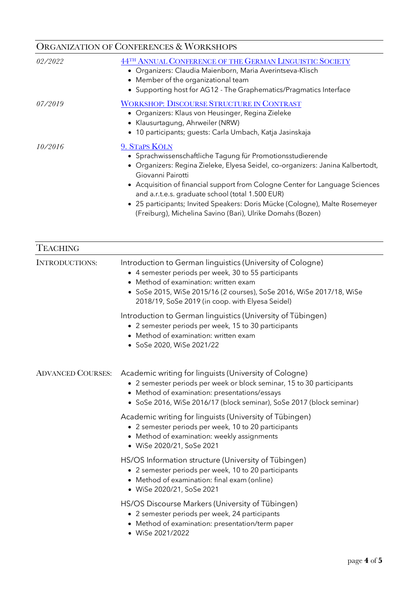| <b>ORGANIZATION OF CONFERENCES &amp; WORKSHOPS</b> |                                                                                                                                                                                                                                                                                                                                                                                                                                                                     |
|----------------------------------------------------|---------------------------------------------------------------------------------------------------------------------------------------------------------------------------------------------------------------------------------------------------------------------------------------------------------------------------------------------------------------------------------------------------------------------------------------------------------------------|
| 02/2022                                            | 44TH ANNUAL CONFERENCE OF THE GERMAN LINGUISTIC SOCIETY<br>· Organizers: Claudia Maienborn, Maria Averintseva-Klisch<br>• Member of the organizational team<br>• Supporting host for AG12 - The Graphematics/Pragmatics Interface                                                                                                                                                                                                                                   |
| 07/2019                                            | <b>WORKSHOP: DISCOURSE STRUCTURE IN CONTRAST</b><br>• Organizers: Klaus von Heusinger, Regina Zieleke<br>• Klausurtagung, Ahrweiler (NRW)<br>• 10 participants; guests: Carla Umbach, Katja Jasinskaja                                                                                                                                                                                                                                                              |
| 10/2016                                            | 9. STAPS KÖLN<br>• Sprachwissenschaftliche Tagung für Promotionsstudierende<br>· Organizers: Regina Zieleke, Elyesa Seidel, co-organizers: Janina Kalbertodt,<br>Giovanni Pairotti<br>• Acquisition of financial support from Cologne Center for Language Sciences<br>and a.r.t.e.s. graduate school (total 1.500 EUR)<br>• 25 participants; Invited Speakers: Doris Mücke (Cologne), Malte Rosemeyer<br>(Freiburg), Michelina Savino (Bari), Ulrike Domahs (Bozen) |

| <b>TEACHING</b>          |                                                                                                                                                                                                                                                                                       |
|--------------------------|---------------------------------------------------------------------------------------------------------------------------------------------------------------------------------------------------------------------------------------------------------------------------------------|
| <b>INTRODUCTIONS:</b>    | Introduction to German linguistics (University of Cologne)<br>• 4 semester periods per week, 30 to 55 participants<br>Method of examination: written exam<br>• SoSe 2015, WiSe 2015/16 (2 courses), SoSe 2016, WiSe 2017/18, WiSe<br>2018/19, SoSe 2019 (in coop. with Elyesa Seidel) |
|                          | Introduction to German linguistics (University of Tübingen)<br>• 2 semester periods per week, 15 to 30 participants<br>• Method of examination: written exam<br>• SoSe 2020, WiSe 2021/22                                                                                             |
| <b>ADVANCED COURSES:</b> | Academic writing for linguists (University of Cologne)<br>• 2 semester periods per week or block seminar, 15 to 30 participants<br>• Method of examination: presentations/essays<br>• SoSe 2016, WiSe 2016/17 (block seminar), SoSe 2017 (block seminar)                              |
|                          | Academic writing for linguists (University of Tübingen)<br>• 2 semester periods per week, 10 to 20 participants<br>• Method of examination: weekly assignments<br>• WiSe 2020/21, SoSe 2021                                                                                           |
|                          | HS/OS Information structure (University of Tübingen)<br>• 2 semester periods per week, 10 to 20 participants<br>• Method of examination: final exam (online)<br>• WiSe 2020/21, SoSe 2021                                                                                             |
|                          | HS/OS Discourse Markers (University of Tübingen)<br>• 2 semester periods per week, 24 participants<br>• Method of examination: presentation/term paper<br>• WiSe 2021/2022                                                                                                            |